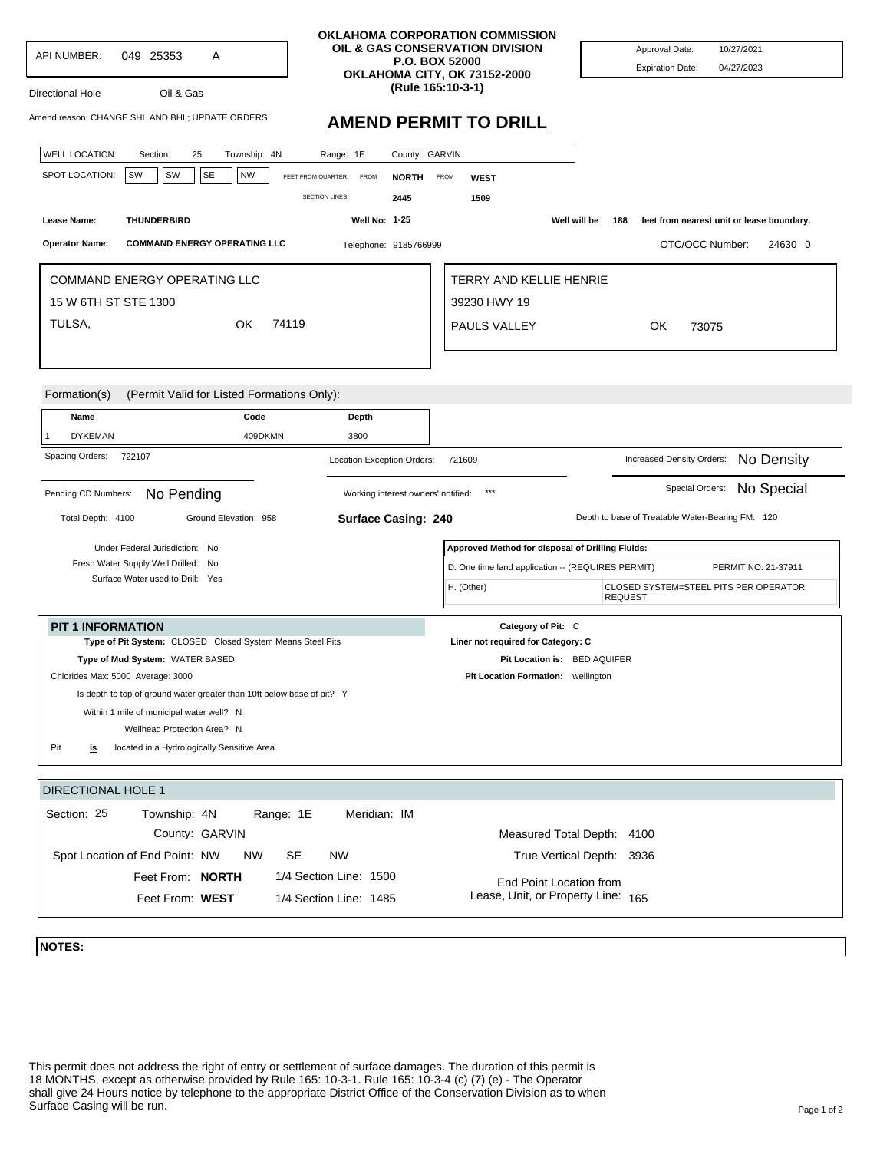| API NUMBER:<br>049 25353<br>Α<br>Oil & Gas<br>Directional Hole                                                     | OKLAHOMA CORPORATION COMMISSION<br>OIL & GAS CONSERVATION DIVISION<br>P.O. BOX 52000<br>OKLAHOMA CITY, OK 73152-2000<br>(Rule 165:10-3-1) |                                                                          | Approval Date:<br>10/27/2021<br><b>Expiration Date:</b><br>04/27/2023 |  |
|--------------------------------------------------------------------------------------------------------------------|-------------------------------------------------------------------------------------------------------------------------------------------|--------------------------------------------------------------------------|-----------------------------------------------------------------------|--|
| Amend reason: CHANGE SHL AND BHL; UPDATE ORDERS                                                                    | <b>AMEND PERMIT TO DRILL</b>                                                                                                              |                                                                          |                                                                       |  |
| <b>WELL LOCATION:</b><br>25<br>Township: 4N<br>Section:<br>Range: 1E                                               | County: GARVIN                                                                                                                            |                                                                          |                                                                       |  |
| SW<br>SW<br><b>SE</b><br><b>NW</b><br>SPOT LOCATION:<br>FEET FROM QUARTER:                                         | <b>FROM</b><br><b>NORTH</b><br><b>FROM</b>                                                                                                | <b>WEST</b>                                                              |                                                                       |  |
| <b>SECTION LINES:</b>                                                                                              | 2445                                                                                                                                      | 1509<br>Well will be                                                     |                                                                       |  |
| Lease Name:<br><b>THUNDERBIRD</b>                                                                                  | Well No: 1-25                                                                                                                             |                                                                          | feet from nearest unit or lease boundary.<br>188                      |  |
| <b>Operator Name:</b><br><b>COMMAND ENERGY OPERATING LLC</b>                                                       | Telephone: 9185766999                                                                                                                     |                                                                          | OTC/OCC Number:<br>24630 0                                            |  |
| COMMAND ENERGY OPERATING LLC                                                                                       |                                                                                                                                           | TERRY AND KELLIE HENRIE                                                  |                                                                       |  |
| 15 W 6TH ST STE 1300                                                                                               |                                                                                                                                           | 39230 HWY 19                                                             |                                                                       |  |
| TULSA,<br>74119<br>OK                                                                                              |                                                                                                                                           | PAULS VALLEY                                                             | OK.<br>73075                                                          |  |
| (Permit Valid for Listed Formations Only):<br>Formation(s)<br>Code<br>Depth<br>Name                                |                                                                                                                                           |                                                                          |                                                                       |  |
| 3800<br><b>DYKEMAN</b><br>409DKMN                                                                                  |                                                                                                                                           |                                                                          |                                                                       |  |
| Spacing Orders:<br>722107                                                                                          | Location Exception Orders:                                                                                                                | 721609                                                                   | No Density<br>Increased Density Orders:                               |  |
| No Special<br>Special Orders:<br>$***$<br>Pending CD Numbers:<br>No Pending<br>Working interest owners' notified:  |                                                                                                                                           |                                                                          |                                                                       |  |
| Total Depth: 4100<br>Ground Elevation: 958                                                                         | Surface Casing: 240                                                                                                                       |                                                                          | Depth to base of Treatable Water-Bearing FM: 120                      |  |
| Under Federal Jurisdiction: No<br>Fresh Water Supply Well Drilled: No                                              |                                                                                                                                           | Approved Method for disposal of Drilling Fluids:                         |                                                                       |  |
|                                                                                                                    |                                                                                                                                           | D. One time land application -- (REQUIRES PERMIT)<br>PERMIT NO: 21-37911 |                                                                       |  |
| Surface Water used to Drill: Yes                                                                                   |                                                                                                                                           | H. (Other)                                                               | CLOSED SYSTEM=STEEL PITS PER OPERATOR<br><b>REQUEST</b>               |  |
| <b>PIT 1 INFORMATION</b>                                                                                           |                                                                                                                                           | Category of Pit: C                                                       |                                                                       |  |
| Type of Pit System: CLOSED Closed System Means Steel Pits                                                          |                                                                                                                                           | Liner not required for Category: C                                       |                                                                       |  |
| Type of Mud System: WATER BASED                                                                                    |                                                                                                                                           | Pit Location is: BED AQUIFER                                             |                                                                       |  |
| Chlorides Max: 5000 Average: 3000                                                                                  |                                                                                                                                           | Pit Location Formation: wellington                                       |                                                                       |  |
| Is depth to top of ground water greater than 10ft below base of pit? Y<br>Within 1 mile of municipal water well? N |                                                                                                                                           |                                                                          |                                                                       |  |
| Wellhead Protection Area? N                                                                                        |                                                                                                                                           |                                                                          |                                                                       |  |
| Pit<br>located in a Hydrologically Sensitive Area.<br><u>is</u>                                                    |                                                                                                                                           |                                                                          |                                                                       |  |
|                                                                                                                    |                                                                                                                                           |                                                                          |                                                                       |  |
| <b>DIRECTIONAL HOLE 1</b>                                                                                          |                                                                                                                                           |                                                                          |                                                                       |  |
| Range: 1E<br>Section: 25<br>Township: 4N                                                                           | Meridian: IM                                                                                                                              |                                                                          |                                                                       |  |
| County: GARVIN                                                                                                     |                                                                                                                                           | Measured Total Depth: 4100                                               |                                                                       |  |
| <b>NW</b><br><b>SE</b><br>Spot Location of End Point: NW<br><b>NW</b>                                              |                                                                                                                                           |                                                                          | True Vertical Depth: 3936                                             |  |
| 1/4 Section Line: 1500<br>Feet From: <b>NORTH</b>                                                                  |                                                                                                                                           | End Point Location from                                                  |                                                                       |  |
| Lease, Unit, or Property Line: 165<br>Feet From: WEST<br>1/4 Section Line: 1485                                    |                                                                                                                                           |                                                                          |                                                                       |  |
|                                                                                                                    |                                                                                                                                           |                                                                          |                                                                       |  |

**NOTES:**

This permit does not address the right of entry or settlement of surface damages. The duration of this permit is 18 MONTHS, except as otherwise provided by Rule 165: 10-3-1. Rule 165: 10-3-4 (c) (7) (e) - The Operator shall give 24 Hours notice by telephone to the appropriate District Office of the Conservation Division as to when Surface Casing will be run.